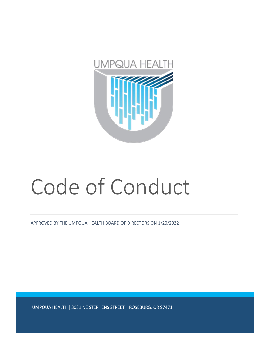

## Code of Conduct

APPROVED BY THE UMPQUA HEALTH BOARD OF DIRECTORS ON 1/20/2022

UMPQUA HEALTH | 3031 NE STEPHENS STREET | ROSEBURG, OR 97471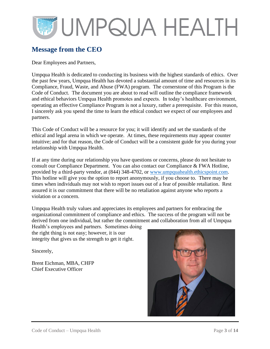## <span id="page-2-0"></span>**Message from the CEO**

Dear Employees and Partners,

Umpqua Health is dedicated to conducting its business with the highest standards of ethics. Over the past few years, Umpqua Health has devoted a substantial amount of time and resources in its Compliance, Fraud, Waste, and Abuse (FWA) program. The cornerstone of this Program is the Code of Conduct. The document you are about to read will outline the compliance framework and ethical behaviors Umpqua Health promotes and expects. In today's healthcare environment, operating an effective Compliance Program is not a luxury, rather a prerequisite. For this reason, I sincerely ask you spend the time to learn the ethical conduct we expect of our employees and partners.

This Code of Conduct will be a resource for you; it will identify and set the standards of the ethical and legal arena in which we operate. At times, these requirements may appear counter intuitive; and for that reason, the Code of Conduct will be a consistent guide for you during your relationship with Umpqua Health.

If at any time during our relationship you have questions or concerns, please do not hesitate to consult our Compliance Department. You can also contact our Compliance & FWA Hotline, provided by a third-party vendor, at (844) 348-4702, or [www.umpquahealth.ethicspoint.com.](http://www.umpquahealth.ethicspoint.com/) This hotline will give you the option to report anonymously, if you choose to. There may be times when individuals may not wish to report issues out of a fear of possible retaliation. Rest assured it is our commitment that there will be no retaliation against anyone who reports a violation or a concern.

Umpqua Health truly values and appreciates its employees and partners for embracing the organizational commitment of compliance and ethics. The success of the program will not be derived from one individual, but rather the commitment and collaboration from all of Umpqua

Health's employees and partners. Sometimes doing the right thing is not easy; however, it is our integrity that gives us the strength to get it right.

Sincerely,

Brent Eichman, MBA, CHFP Chief Executive Officer

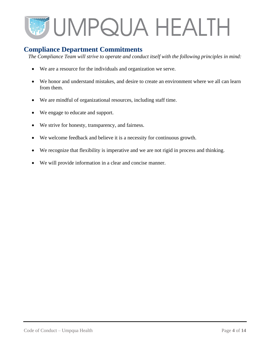### <span id="page-3-0"></span>**Compliance Department Commitments**

*The Compliance Team will strive to operate and conduct itself with the following principles in mind:*

- We are a resource for the individuals and organization we serve.
- We honor and understand mistakes, and desire to create an environment where we all can learn from them.
- We are mindful of organizational resources, including staff time.
- We engage to educate and support.
- We strive for honesty, transparency, and fairness.
- We welcome feedback and believe it is a necessity for continuous growth.
- We recognize that flexibility is imperative and we are not rigid in process and thinking.
- We will provide information in a clear and concise manner.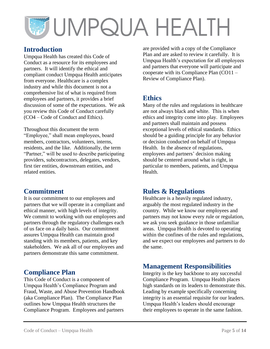### **Introduction**

Umpqua Health has created this Code of Conduct as a resource for its employees and partners. It will identify the ethical and compliant conduct Umpqua Health anticipates from everyone. Healthcare is a complex industry and while this document is not a comprehensive list of what is required from employees and partners, it provides a brief discussion of some of the expectations. We ask you review this Code of Conduct carefully (CO4 – Code of Conduct and Ethics).

Throughout this document the term "Employee," shall mean employees, board members, contractors, volunteers, interns, residents, and the like. Additionally, the term "Partner," will be used to describe participating providers, subcontractors, delegates, vendors, first tier entities, downstream entities, and related entities.

## <span id="page-4-0"></span>**Commitment**

It is our commitment to our employees and partners that we will operate in a compliant and ethical manner, with high levels of integrity. We commit to working with our employees and partners through the regulatory challenges each of us face on a daily basis. Our commitment assures Umpqua Health can maintain good standing with its members, patients, and key stakeholders. We ask all of our employees and partners demonstrate this same commitment.

## <span id="page-4-1"></span>**Compliance Plan**

This Code of Conduct is a component of Umpqua Health's Compliance Program and Fraud, Waste, and Abuse Prevention Handbook (aka Compliance Plan). The Compliance Plan outlines how Umpqua Health structures the Compliance Program. Employees and partners

are provided with a copy of the Compliance Plan and are asked to review it carefully. It is Umpqua Health's expectation for all employees and partners that everyone will participate and cooperate with its Compliance Plan (CO11 – Review of Compliance Plan).

## <span id="page-4-2"></span>**Ethics**

Many of the rules and regulations in healthcare are not always black and white. This is when ethics and integrity come into play. Employees and partners shall maintain and possess exceptional levels of ethical standards. Ethics should be a guiding principle for any behavior or decision conducted on behalf of Umpqua Health. In the absence of regulations, employees and partners' decision making should be centered around what is right, in particular to members, patients, and Umpqua Health.

## <span id="page-4-3"></span>**Rules & Regulations**

Healthcare is a heavily regulated industry, arguably the most regulated industry in the country. While we know our employees and partners may not know every rule or regulation, we ask you seek guidance in those unfamiliar areas. Umpqua Health is devoted to operating within the confines of the rules and regulations, and we expect our employees and partners to do the same.

## <span id="page-4-4"></span>**Management Responsibilities**

Integrity is the key backbone to any successful Compliance Program. Umpqua Health places high standards on its leaders to demonstrate this. Leading by example specifically concerning integrity is an essential requisite for our leaders. Umpqua Health's leaders should encourage their employees to operate in the same fashion.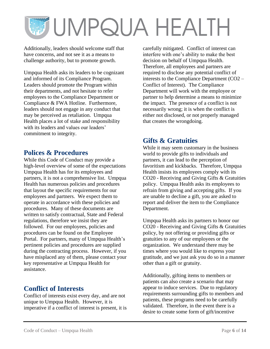Additionally, leaders should welcome staff that have concerns, and not see it as a means to challenge authority, but to promote growth.

Umpqua Health asks its leaders to be cognizant and informed of its Compliance Program. Leaders should promote the Program within their departments, and not hesitate to refer employees to the Compliance Department or Compliance & FWA Hotline. Furthermore, leaders should not engage in any conduct that may be perceived as retaliation. Umpqua Health places a lot of stake and responsibility with its leaders and values our leaders' commitment to integrity.

### <span id="page-5-0"></span>**Polices & Procedures**

While this Code of Conduct may provide a high-level overview of some of the expectations Umpqua Health has for its employees and partners, it is not a comprehensive list. Umpqua Health has numerous policies and procedures that layout the specific requirements for our employees and partners. We expect them to operate in accordance with these policies and procedures. Many of these documents are written to satisfy contractual, State and Federal regulations, therefore we insist they are followed. For our employees, policies and procedures can be found on the Employee Portal. For partners, many of Umpqua Health's pertinent policies and procedures are supplied during the contracting process. However, if you have misplaced any of them, please contact your key representative at Umpqua Health for assistance.

## <span id="page-5-1"></span>**Conflict of Interests**

Conflict of interests exist every day, and are not unique to Umpqua Health. However, it is imperative if a conflict of interest is present, it is carefully mitigated. Conflict of interest can interfere with one's ability to make the best decision on behalf of Umpqua Health. Therefore, all employees and partners are required to disclose any potential conflict of interests to the Compliance Department (CO2 – Conflict of Interest). The Compliance Department will work with the employee or partner to help determine a means to minimize the impact. The presence of a conflict is not necessarily wrong; it is when the conflict is either not disclosed, or not properly managed that creates the wrongdoing.

## <span id="page-5-2"></span>**Gifts & Gratuities**

While it may seem customary in the business world to provide gifts to individuals and partners, it can lead to the perception of favoritism and kickbacks. Therefore, Umpqua Health insists its employees comply with its CO20 - Receiving and Giving Gifts & Gratuities policy. Umpqua Health asks its employees to refrain from giving and accepting gifts. If you are unable to decline a gift, you are asked to report and deliver the item to the Compliance Department.

Umpqua Health asks its partners to honor our CO20 - Receiving and Giving Gifts & Gratuities policy, by not offering or providing gifts or gratuities to any of our employees or the organization. We understand there may be times where you would like to express your gratitude, and we just ask you do so in a manner other than a gift or gratuity.

Additionally, gifting items to members or patients can also create a scenario that may appear to induce services. Due to regulatory requirements surrounding gifts to members and patients, these programs need to be carefully validated. Therefore, in the event there is a desire to create some form of gift/incentive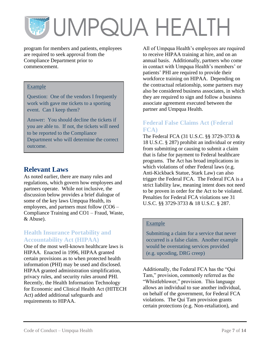program for members and patients, employees are required to seek approval from the Compliance Department prior to commencement.

#### Example

Question: One of the vendors I frequently work with gave me tickets to a sporting event. Can I keep them?

Answer: You should decline the tickets if you are able to. If not, the tickets will need to be reported to the Compliance Department who will determine the correct outcome.

## <span id="page-6-0"></span>**Relevant Laws**

As noted earlier, there are many rules and regulations, which govern how employees and partners operate. While not inclusive, the discussion below provides a brief dialogue of some of the key laws Umpqua Health, its employees, and partners must follow (CO6 – Compliance Training and CO1 – Fraud, Waste, & Abuse).

### **Health Insurance Portability and Accountability Act (HIPAA)**

One of the most well-known healthcare laws is HIPAA. Enacted in 1996, HIPAA granted certain provisions as to when protected health information (PHI) may be used and disclosed. HIPAA granted administration simplification, privacy rules, and security rules around PHI. Recently, the Health Information Technology for Economic and Clinical Health Act (HITECH Act) added additional safeguards and requirements to HIPAA.

All of Umpqua Health's employees are required to receive HIPAA training at hire, and on an annual basis. Additionally, partners who come in contact with Umpqua Health's members' or patients' PHI are required to provide their workforce training on HIPAA. Depending on the contractual relationship, some partners may also be considered business associates, in which they are required to sign and follow a business associate agreement executed between the partner and Umpqua Health.

#### **Federal False Claims Act (Federal FCA)**

The Federal FCA (31 U.S.C. §§ 3729-3733 & 18 U.S.C. § 287) prohibit an individual or entity from submitting or causing to submit a claim that is false for payment to Federal healthcare programs. The Act has broad implications in which violations of other Federal laws (e.g. Anti-Kickback Statue, Stark Law) can also trigger the Federal FCA. The Federal FCA is a strict liability law, meaning intent does not need to be proven in order for the Act to be violated. Penalties for Federal FCA violations see 31 U.S.C. §§ 3729-3733 & 18 U.S.C. § 287.

#### Example

Submitting a claim for a service that never occurred is a false claim. Another example would be overstating services provided (e.g. upcoding, DRG creep)

Additionally, the Federal FCA has the "Qui Tam," provision, commonly referred as the "Whistleblower," provision. This language allows an individual to sue another individual, on behalf of the government, for Federal FCA violations. The Qui Tam provision grants certain protections (e.g. Non-retaliation), and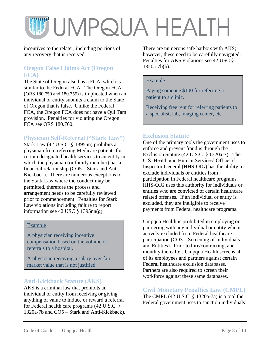incentives to the relater, including portions of any recovery that is received.

#### **Oregon False Claims Act (Oregon FCA)**

The State of Oregon also has a FCA, which is similar to the Federal FCA. The Oregon FCA (ORS 180.750 and 180.755) is implicated when an individual or entity submits a claim to the State of Oregon that is false. Unlike the Federal FCA, the Oregon FCA does not have a Qui Tam provision. Penalties for violating the Oregon FCA see ORS 180.760.

### **Physician Self-Referral ("Stark Law")**

Stark Law (42 U.S.C. § 1395nn) prohibits a physician from referring Medicare patients for certain designated health services to an entity in which the physician (or family member) has a financial relationship (CO5 – Stark and Anti-Kickback). There are numerous exceptions to the Stark Law where the conduct may be permitted, therefore the process and arrangement needs to be carefully reviewed prior to commencement. Penalties for Stark Law violations including failure to report information see 42 USC  $\S$  1395nn(g).

#### Example

A physician receiving incentive compensation based on the volume of referrals to a hospital.

A physician receiving a salary over fair market value that is not justified.

#### **Anti-Kickback Statute (AKS)**

AKS is a criminal law that prohibits an individual or entity from receiving or giving anything of value to induce or reward a referral for Federal health care programs (42 U.S.C. § 1320a-7b and CO5 – Stark and Anti-Kickback). There are numerous safe harbors with AKS; however, these need to be carefully navigated. Penalties for AKS violations see 42 USC § 1320a-7b(b).

#### Example

Paying someone \$100 for referring a patient to a clinic.

Receiving free rent for referring patients to a specialist, lab, imaging center, etc.

#### **Exclusion Statute**

One of the primary tools the government uses to enforce and prevent fraud is through the Exclusion Statute (42 U.S.C. § 1320a-7). The U.S. Health and Human Services' Office of Inspector General (HHS-OIG) has the ability to exclude individuals or entities from participation in Federal healthcare programs. HHS-OIG uses this authority for individuals or entities who are convicted of certain healthcare related offenses. If an individual or entity is excluded, they are ineligible to receive payments from Federal healthcare programs.

Umpqua Health is prohibited in employing or partnering with any individual or entity who is actively excluded from Federal healthcare participation (CO3 – Screening of Individuals and Entities). Prior to hire/contracting, and monthly thereafter, Umpqua Health screens all of its employees and partners against certain Federal healthcare exclusion databases. Partners are also required to screen their workforce against these same databases.

#### **Civil Monetary Penalties Law (CMPL)**

The CMPL (42 U.S.C. § 1320a-7a) is a tool the Federal government uses to sanction individuals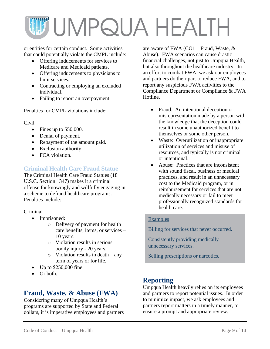or entities for certain conduct. Some activities that could potentially violate the CMPL include:

- Offering inducements for services to Medicare and Medicaid patients.
- Offering inducements to physicians to limit services.
- Contracting or employing an excluded individual.
- Failing to report an overpayment.

Penalties for CMPL violations include:

#### Civil

- Fines up to \$50,000.
- Denial of payment.
- Repayment of the amount paid.
- Exclusion authority.
- FCA violation.

### **Criminal Health Care Fraud Statue**

The Criminal Health Care Fraud Statues (18 U.S.C. Section 1347) makes it a criminal offense for knowingly and willfully engaging in a scheme to defraud healthcare programs. Penalties include:

#### Criminal

- Imprisoned:
	- o Delivery of payment for health care benefits, items, or services – 10 years.
	- o Violation results in serious bodily injury - 20 years.
	- o Violation results in death any term of years or for life.
- Up to \$250,000 fine.
- Or both.

## <span id="page-8-0"></span>**Fraud, Waste, & Abuse (FWA)**

Considering many of Umpqua Health's programs are supported by State and Federal dollars, it is imperative employees and partners

are aware of FWA (CO1 – Fraud, Waste, & Abuse). FWA scenarios can cause drastic financial challenges, not just to Umpqua Health, but also throughout the healthcare industry. In an effort to combat FWA, we ask our employees and partners do their part to reduce FWA, and to report any suspicious FWA activities to the Compliance Department or Compliance & FWA Hotline.

- Fraud: An intentional deception or misrepresentation made by a person with the knowledge that the deception could result in some unauthorized benefit to themselves or some other person.
- Waste: Overutilization or inappropriate utilization of services and misuse of resources, and typically is not criminal or intentional.
- Abuse: Practices that are inconsistent with sound fiscal, business or medical practices, and result in an unnecessary cost to the Medicaid program, or in reimbursement for services that are not medically necessary or fail to meet professionally recognized standards for health care.

#### Examples

Billing for services that never occurred.

Consistently providing medically unnecessary services.

Selling prescriptions or narcotics.

## <span id="page-8-1"></span>**Reporting**

Umpqua Health heavily relies on its employees and partners to report potential issues. In order to minimize impact, we ask employees and partners report matters in a timely manner, to ensure a prompt and appropriate review.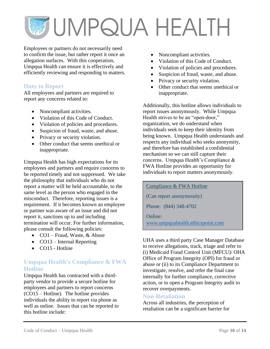Employees or partners do not necessarily need to confirm the issue, but rather report it once an allegation surfaces. With this cooperation, Umpqua Health can ensure it is effectively and efficiently reviewing and responding to matters.

#### **Duty to Report**

All employees and partners are required to report any concerns related to:

- Noncompliant activities.
- Violation of this Code of Conduct.
- Violation of policies and procedures.
- Suspicion of fraud, waste, and abuse.
- Privacy or security violation.
- Other conduct that seems unethical or inappropriate.

Umpqua Health has high expectations for its employees and partners and require concerns to be reported timely and not suppressed. We take the philosophy that individuals who do not report a matter will be held accountable, to the same level as the person who engaged in the misconduct. Therefore, reporting issues is a requirement. If it becomes known an employee or partner was aware of an issue and did not report it, sanctions up to and including termination will occur. For further information, please consult the following policies:

- CO1 Fraud, Waste, & Abuse
- CO13 Internal Reporting
- CO15 Hotline

#### **Umpqua Health's Compliance & FWA Hotline**

Umpqua Health has contracted with a thirdparty vendor to provide a secure hotline for employees and partners to report concerns (CO15 – Hotline). The hotline provides individuals the ability to report via phone as well as online. Issues that can be reported to this hotline include:

- Noncompliant activities.
- Violation of this Code of Conduct.
- Violation of policies and procedures.
- Suspicion of fraud, waste, and abuse.
- Privacy or security violation.
- Other conduct that seems unethical or inappropriate.

Additionally, this hotline allows individuals to report issues anonymously. While Umpqua Health strives to be an "open-door," organization, we do understand when individuals seek to keep their identity from being known. Umpqua Health understands and respects any individual who seeks anonymity, and therefore has established a confidential mechanism so we can still capture their concerns. Umpqua Health's Compliance & FWA Hotline provides an opportunity for individuals to report matters anonymously.

Compliance & FWA Hotline (Can report anonymously) Phone: (844) 348-4702 Online: [www.umpquahealth.ethicspoint.com](http://www.umpquahealth.ethicspoint.com/)

UHA uses a third party Case Manager Database to receive allegations, track, triage and refer to (i) Medicaid Fraud Control Unit (MFCU)/ OHA Office of Program Integrity (OPI) for fraud or abuse or (ii) to its Compliance Department to investigate, resolve, and refer the final case internally for further compliance, corrective action, or to open a Program Integrity audit to recover overpayments.

#### **Non-Retaliation**

Across all industries, the perception of retaliation can be a significant barrier for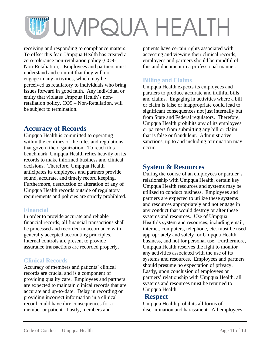receiving and responding to compliance matters. To offset this fear, Umpqua Health has created a zero-tolerance non-retaliation policy (CO9- Non-Retaliation). Employees and partners must understand and commit that they will not engage in any activities, which may be perceived as retaliatory to individuals who bring issues forward in good faith. Any individual or entity that violates Umpqua Health's nonretaliation policy, CO9 – Non-Retaliation, will be subject to termination.

## <span id="page-10-0"></span>**Accuracy of Records**

Umpqua Health is committed to operating within the confines of the rules and regulations that govern the organization. To reach this benchmark, Umpqua Health relies heavily on its records to make informed business and clinical decisions. Therefore, Umpqua Health anticipates its employees and partners provide sound, accurate, and timely record keeping. Furthermore, destruction or alteration of any of Umpqua Health records outside of regulatory requirements and policies are strictly prohibited.

### **Financial**

In order to provide accurate and reliable financial records, all financial transactions shall be processed and recorded in accordance with generally accepted accounting principles. Internal controls are present to provide assurance transactions are recorded properly.

### **Clinical Records**

Accuracy of members and patients' clinical records are crucial and is a component of providing quality care. Employees and partners are expected to maintain clinical records that are accurate and up-to-date. Delay in recording or providing incorrect information in a clinical record could have dire consequences for a member or patient. Lastly, members and

patients have certain rights associated with accessing and viewing their clinical records, employees and partners should be mindful of this and document in a professional manner.

### **Billing and Claims**

Umpqua Health expects its employees and partners to produce accurate and truthful bills and claims. Engaging in activities where a bill or claim is false or inappropriate could lead to significant consequences not just internally but from State and Federal regulators. Therefore, Umpqua Health prohibits any of its employees or partners from submitting any bill or claim that is false or fraudulent. Administrative sanctions, up to and including termination may occur.

### <span id="page-10-1"></span>**System & Resources**

During the course of an employees or partner's relationship with Umpqua Health, certain key Umpqua Health resources and systems may be utilized to conduct business. Employees and partners are expected to utilize these systems and resources appropriately and not engage in any conduct that would destroy or alter these systems and resources. Use of Umpqua Health's system and resources, including email, internet, computers, telephone, etc. must be used appropriately and solely for Umpqua Health business, and not for personal use. Furthermore, Umpqua Health reserves the right to monitor any activities associated with the use of its systems and resources. Employees and partners should presume no expectation of privacy. Lastly, upon conclusion of employees or partners' relationship with Umpqua Health, all systems and resources must be returned to Umpqua Health.

## <span id="page-10-2"></span>**Respect**

Umpqua Health prohibits all forms of discrimination and harassment. All employees,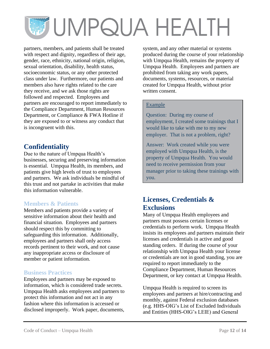partners, members, and patients shall be treated with respect and dignity, regardless of their age, gender, race, ethnicity, national origin, religion, sexual orientation, disability, health status, socioeconomic status, or any other protected class under law. Furthermore, our patients and members also have rights related to the care they receive, and we ask those rights are followed and respected. Employees and partners are encouraged to report immediately to the Compliance Department, Human Resources Department, or Compliance & FWA Hotline if they are exposed to or witness any conduct that is incongruent with this.

## <span id="page-11-0"></span>**Confidentiality**

Due to the nature of Umpqua Health's businesses, securing and preserving information is essential. Umpqua Health, its members, and patients give high levels of trust to employees and partners. We ask individuals be mindful of this trust and not partake in activities that make this information vulnerable.

### **Members & Patients**

Members and patients provide a variety of sensitive information about their health and financial situation. Employees and partners should respect this by committing to safeguarding this information. Additionally, employees and partners shall only access records pertinent to their work, and not cause any inappropriate access or disclosure of member or patient information.

### **Business Practices**

Employees and partners may be exposed to information, which is considered trade secrets. Umpqua Health asks employees and partners to protect this information and not act in any fashion where this information is accessed or disclosed improperly. Work paper, documents,

system, and any other material or systems produced during the course of your relationship with Umpqua Health, remains the property of Umpqua Health. Employees and partners are prohibited from taking any work papers, documents, systems, resources, or material created for Umpqua Health, without prior written consent.

#### Example

Question: During my course of employment, I created some trainings that I would like to take with me to my new employer. That is not a problem, right?

Answer: Work created while you were employed with Umpqua Health, is the property of Umpqua Health. You would need to receive permission from your manager prior to taking these trainings with you.

## <span id="page-11-1"></span>**Licenses, Credentials & Exclusions**

Many of Umpqua Health employees and partners must possess certain licenses or credentials to perform work. Umpqua Health insists its employees and partners maintain their licenses and credentials in active and good standing orders. If during the course of your relationship with Umpqua Health your license or credentials are not in good standing, you are required to report immediately to the Compliance Department, Human Resources Department, or key contact at Umpqua Health.

Umpqua Health is required to screen its employees and partners at hire/contracting and monthly, against Federal exclusion databases (e.g. HHS-OIG's List of Excluded Individuals and Entities (HHS-OIG's LEIE) and General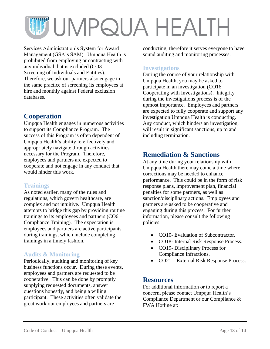Services Administration's System for Award Management (GSA's SAM). Umpqua Health is prohibited from employing or contracting with any individual that is excluded (CO3 – Screening of Individuals and Entities). Therefore, we ask our partners also engage in the same practice of screening its employees at hire and monthly against Federal exclusion databases.

## <span id="page-12-0"></span>**Cooperation**

Umpqua Health engages in numerous activities to support its Compliance Program. The success of this Program is often dependent of Umpqua Health's ability to effectively and appropriately navigate through activities necessary for the Program. Therefore, employees and partners are expected to cooperate and not engage in any conduct that would hinder this work.

### **Trainings**

As noted earlier, many of the rules and regulations, which govern healthcare, are complex and not intuitive. Umpqua Health attempts to bridge this gap by providing routine trainings to its employees and partners (CO6 – Compliance Training). The expectation is employees and partners are active participants during trainings, which include completing trainings in a timely fashion.

### **Audits & Monitoring**

Periodically, auditing and monitoring of key business functions occur. During these events, employees and partners are requested to be cooperative. This can be done by promptly supplying requested documents, answer questions honestly, and being a willing participant. These activities often validate the great work our employees and partners are

conducting; therefore it serves everyone to have sound auditing and monitoring processes.

### **Investigations**

During the course of your relationship with Umpqua Health, you may be asked to participate in an investigation (CO16 – Cooperating with Investigations). Integrity during the investigations process is of the upmost importance. Employees and partners are expected to fully cooperate and support any investigation Umpqua Health is conducting. Any conduct, which hinders an investigation, will result in significant sanctions, up to and including termination.

## <span id="page-12-1"></span>**Remediation & Sanctions**

At any time during your relationship with Umpqua Health there may come a time where corrections may be needed to enhance performance. This could be in the form of risk response plans, improvement plan, financial penalties for some partners, as well as sanction/disciplinary actions. Employees and partners are asked to be cooperative and engaging during this process. For further information, please consult the following policies:

- CO10- Evaluation of Subcontractor.
- CO18- Internal Risk Response Process.
- CO19- Disciplinary Process for Compliance Infractions.
- CO21 External Risk Response Process.

### <span id="page-12-2"></span>**Resources**

For additional information or to report a concern, please contact Umpqua Health's Compliance Department or our Compliance & FWA Hotline at: